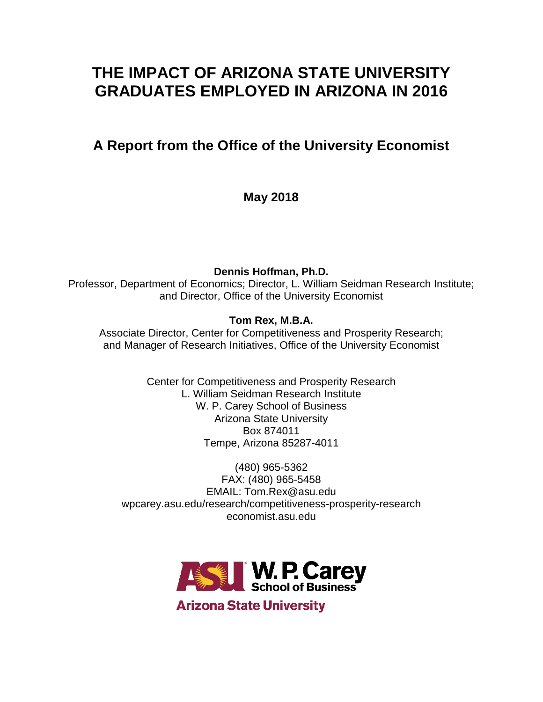# **THE IMPACT OF ARIZONA STATE UNIVERSITY GRADUATES EMPLOYED IN ARIZONA IN 2016**

# **A Report from the Office of the University Economist**

**May 2018**

**Dennis Hoffman, Ph.D.**

Professor, Department of Economics; Director, L. William Seidman Research Institute; and Director, Office of the University Economist

# **Tom Rex, M.B.A.**

Associate Director, Center for Competitiveness and Prosperity Research; and Manager of Research Initiatives, Office of the University Economist

> Center for Competitiveness and Prosperity Research L. William Seidman Research Institute W. P. Carey School of Business Arizona State University Box 874011 Tempe, Arizona 85287-4011

(480) 965-5362 FAX: (480) 965-5458 EMAIL: Tom.Rex@asu.edu wpcarey.asu.edu/research/competitiveness-prosperity-research economist.asu.edu



**Arizona State University**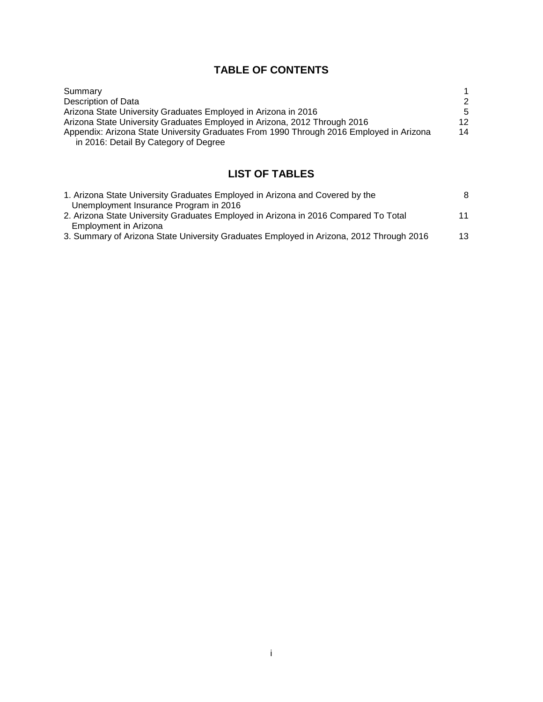# **TABLE OF CONTENTS**

| Summary                                                                                 |    |
|-----------------------------------------------------------------------------------------|----|
| Description of Data                                                                     | 2  |
| Arizona State University Graduates Employed in Arizona in 2016                          | -5 |
| Arizona State University Graduates Employed in Arizona, 2012 Through 2016               | 12 |
| Appendix: Arizona State University Graduates From 1990 Through 2016 Employed in Arizona | 14 |
| in 2016: Detail By Category of Degree                                                   |    |

# **LIST OF TABLES**

| 1. Arizona State University Graduates Employed in Arizona and Covered by the            | 8  |
|-----------------------------------------------------------------------------------------|----|
| Unemployment Insurance Program in 2016                                                  |    |
| 2. Arizona State University Graduates Employed in Arizona in 2016 Compared To Total     | 11 |
| Employment in Arizona                                                                   |    |
| 3. Summary of Arizona State University Graduates Employed in Arizona, 2012 Through 2016 | 13 |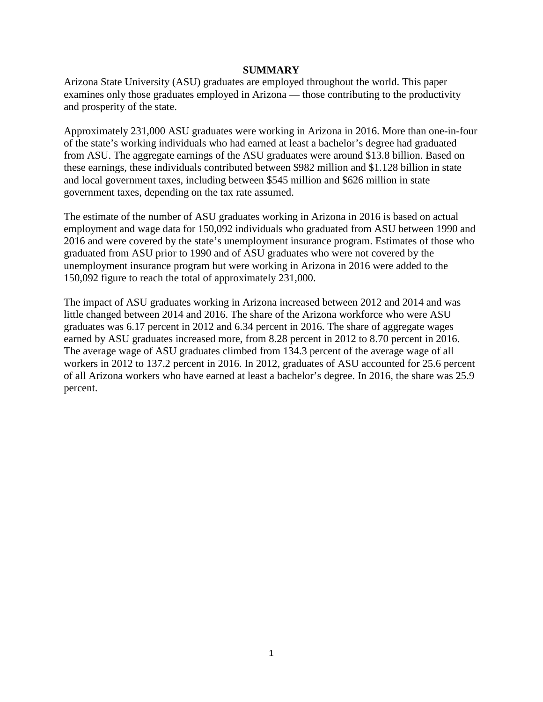#### **SUMMARY**

Arizona State University (ASU) graduates are employed throughout the world. This paper examines only those graduates employed in Arizona — those contributing to the productivity and prosperity of the state.

Approximately 231,000 ASU graduates were working in Arizona in 2016. More than one-in-four of the state's working individuals who had earned at least a bachelor's degree had graduated from ASU. The aggregate earnings of the ASU graduates were around \$13.8 billion. Based on these earnings, these individuals contributed between \$982 million and \$1.128 billion in state and local government taxes, including between \$545 million and \$626 million in state government taxes, depending on the tax rate assumed.

The estimate of the number of ASU graduates working in Arizona in 2016 is based on actual employment and wage data for 150,092 individuals who graduated from ASU between 1990 and 2016 and were covered by the state's unemployment insurance program. Estimates of those who graduated from ASU prior to 1990 and of ASU graduates who were not covered by the unemployment insurance program but were working in Arizona in 2016 were added to the 150,092 figure to reach the total of approximately 231,000.

The impact of ASU graduates working in Arizona increased between 2012 and 2014 and was little changed between 2014 and 2016. The share of the Arizona workforce who were ASU graduates was 6.17 percent in 2012 and 6.34 percent in 2016. The share of aggregate wages earned by ASU graduates increased more, from 8.28 percent in 2012 to 8.70 percent in 2016. The average wage of ASU graduates climbed from 134.3 percent of the average wage of all workers in 2012 to 137.2 percent in 2016. In 2012, graduates of ASU accounted for 25.6 percent of all Arizona workers who have earned at least a bachelor's degree. In 2016, the share was 25.9 percent.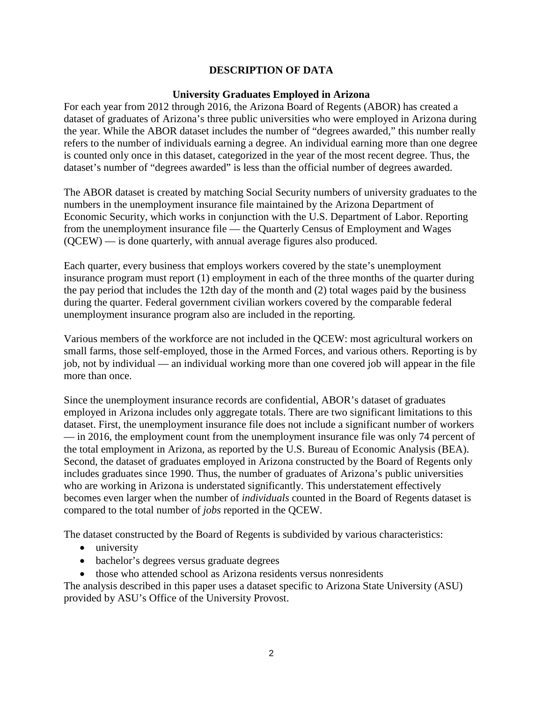## **DESCRIPTION OF DATA**

#### **University Graduates Employed in Arizona**

For each year from 2012 through 2016, the Arizona Board of Regents (ABOR) has created a dataset of graduates of Arizona's three public universities who were employed in Arizona during the year. While the ABOR dataset includes the number of "degrees awarded," this number really refers to the number of individuals earning a degree. An individual earning more than one degree is counted only once in this dataset, categorized in the year of the most recent degree. Thus, the dataset's number of "degrees awarded" is less than the official number of degrees awarded.

The ABOR dataset is created by matching Social Security numbers of university graduates to the numbers in the unemployment insurance file maintained by the Arizona Department of Economic Security, which works in conjunction with the U.S. Department of Labor. Reporting from the unemployment insurance file — the Quarterly Census of Employment and Wages (QCEW) — is done quarterly, with annual average figures also produced.

Each quarter, every business that employs workers covered by the state's unemployment insurance program must report (1) employment in each of the three months of the quarter during the pay period that includes the 12th day of the month and (2) total wages paid by the business during the quarter. Federal government civilian workers covered by the comparable federal unemployment insurance program also are included in the reporting.

Various members of the workforce are not included in the QCEW: most agricultural workers on small farms, those self-employed, those in the Armed Forces, and various others. Reporting is by job, not by individual — an individual working more than one covered job will appear in the file more than once.

Since the unemployment insurance records are confidential, ABOR's dataset of graduates employed in Arizona includes only aggregate totals. There are two significant limitations to this dataset. First, the unemployment insurance file does not include a significant number of workers — in 2016, the employment count from the unemployment insurance file was only 74 percent of the total employment in Arizona, as reported by the U.S. Bureau of Economic Analysis (BEA). Second, the dataset of graduates employed in Arizona constructed by the Board of Regents only includes graduates since 1990. Thus, the number of graduates of Arizona's public universities who are working in Arizona is understated significantly. This understatement effectively becomes even larger when the number of *individuals* counted in the Board of Regents dataset is compared to the total number of *jobs* reported in the QCEW.

The dataset constructed by the Board of Regents is subdivided by various characteristics:

- university
- bachelor's degrees versus graduate degrees
- those who attended school as Arizona residents versus nonresidents

The analysis described in this paper uses a dataset specific to Arizona State University (ASU) provided by ASU's Office of the University Provost.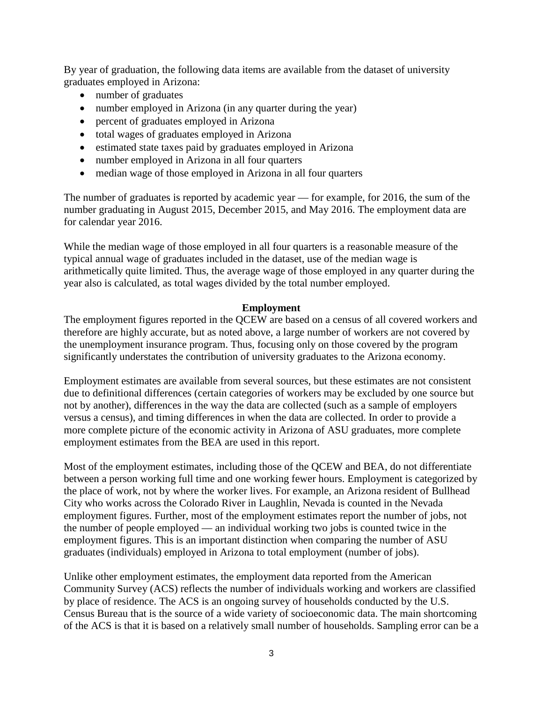By year of graduation, the following data items are available from the dataset of university graduates employed in Arizona:

- number of graduates
- number employed in Arizona (in any quarter during the year)
- percent of graduates employed in Arizona
- total wages of graduates employed in Arizona
- estimated state taxes paid by graduates employed in Arizona
- number employed in Arizona in all four quarters
- median wage of those employed in Arizona in all four quarters

The number of graduates is reported by academic year — for example, for 2016, the sum of the number graduating in August 2015, December 2015, and May 2016. The employment data are for calendar year 2016.

While the median wage of those employed in all four quarters is a reasonable measure of the typical annual wage of graduates included in the dataset, use of the median wage is arithmetically quite limited. Thus, the average wage of those employed in any quarter during the year also is calculated, as total wages divided by the total number employed.

#### **Employment**

The employment figures reported in the QCEW are based on a census of all covered workers and therefore are highly accurate, but as noted above, a large number of workers are not covered by the unemployment insurance program. Thus, focusing only on those covered by the program significantly understates the contribution of university graduates to the Arizona economy.

Employment estimates are available from several sources, but these estimates are not consistent due to definitional differences (certain categories of workers may be excluded by one source but not by another), differences in the way the data are collected (such as a sample of employers versus a census), and timing differences in when the data are collected. In order to provide a more complete picture of the economic activity in Arizona of ASU graduates, more complete employment estimates from the BEA are used in this report.

Most of the employment estimates, including those of the QCEW and BEA, do not differentiate between a person working full time and one working fewer hours. Employment is categorized by the place of work, not by where the worker lives. For example, an Arizona resident of Bullhead City who works across the Colorado River in Laughlin, Nevada is counted in the Nevada employment figures. Further, most of the employment estimates report the number of jobs, not the number of people employed — an individual working two jobs is counted twice in the employment figures. This is an important distinction when comparing the number of ASU graduates (individuals) employed in Arizona to total employment (number of jobs).

Unlike other employment estimates, the employment data reported from the American Community Survey (ACS) reflects the number of individuals working and workers are classified by place of residence. The ACS is an ongoing survey of households conducted by the U.S. Census Bureau that is the source of a wide variety of socioeconomic data. The main shortcoming of the ACS is that it is based on a relatively small number of households. Sampling error can be a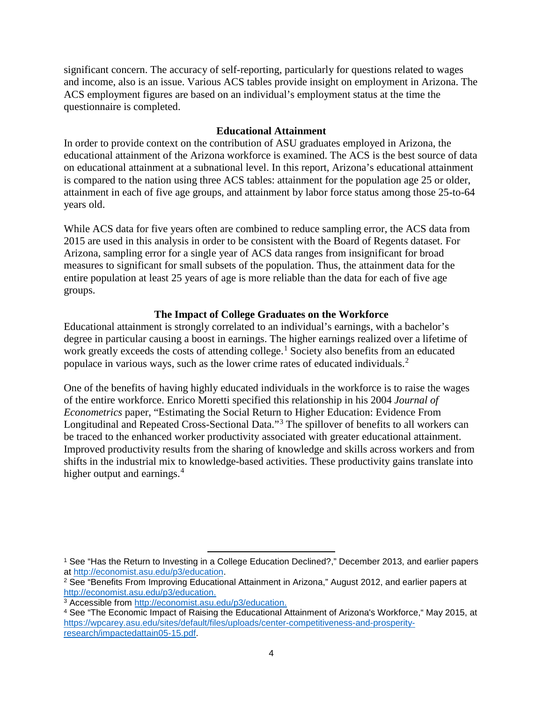significant concern. The accuracy of self-reporting, particularly for questions related to wages and income, also is an issue. Various ACS tables provide insight on employment in Arizona. The ACS employment figures are based on an individual's employment status at the time the questionnaire is completed.

## **Educational Attainment**

In order to provide context on the contribution of ASU graduates employed in Arizona, the educational attainment of the Arizona workforce is examined. The ACS is the best source of data on educational attainment at a subnational level. In this report, Arizona's educational attainment is compared to the nation using three ACS tables: attainment for the population age 25 or older, attainment in each of five age groups, and attainment by labor force status among those 25-to-64 years old.

While ACS data for five years often are combined to reduce sampling error, the ACS data from 2015 are used in this analysis in order to be consistent with the Board of Regents dataset. For Arizona, sampling error for a single year of ACS data ranges from insignificant for broad measures to significant for small subsets of the population. Thus, the attainment data for the entire population at least 25 years of age is more reliable than the data for each of five age groups.

## **The Impact of College Graduates on the Workforce**

Educational attainment is strongly correlated to an individual's earnings, with a bachelor's degree in particular causing a boost in earnings. The higher earnings realized over a lifetime of work greatly exceeds the costs of attending college.<sup>[1](#page-5-0)</sup> Society also benefits from an educated populace in various ways, such as the lower crime rates of educated individuals.[2](#page-5-1)

One of the benefits of having highly educated individuals in the workforce is to raise the wages of the entire workforce. Enrico Moretti specified this relationship in his 2004 *Journal of Econometrics* paper, "Estimating the Social Return to Higher Education: Evidence From Longitudinal and Repeated Cross-Sectional Data."[3](#page-5-2) The spillover of benefits to all workers can be traced to the enhanced worker productivity associated with greater educational attainment. Improved productivity results from the sharing of knowledge and skills across workers and from shifts in the industrial mix to knowledge-based activities. These productivity gains translate into higher output and earnings.<sup>[4](#page-5-3)</sup>

 $\overline{\phantom{a}}$ 

<span id="page-5-0"></span><sup>1</sup> See "Has the Return to Investing in a College Education Declined?," December 2013, and earlier papers at [http://economist.asu.edu/p3/education.](http://economist.asu.edu/p3/education)

<span id="page-5-1"></span><sup>2</sup> See "Benefits From Improving Educational Attainment in Arizona," August 2012, and earlier papers at [http://economist.asu.edu/p3/education.](http://economist.asu.edu/p3/education)

<span id="page-5-2"></span><sup>3</sup> Accessible from [http://economist.asu.edu/p3/education.](http://economist.asu.edu/p3/education)

<span id="page-5-3"></span><sup>4</sup> See "The Economic Impact of Raising the Educational Attainment of Arizona's Workforce," May 2015, at [https://wpcarey.asu.edu/sites/default/files/uploads/center-competitiveness-and-prosperity](https://wpcarey.asu.edu/sites/default/files/uploads/center-competitiveness-and-prosperity-research/impactedattain05-15.pdf)[research/impactedattain05-15.pdf.](https://wpcarey.asu.edu/sites/default/files/uploads/center-competitiveness-and-prosperity-research/impactedattain05-15.pdf)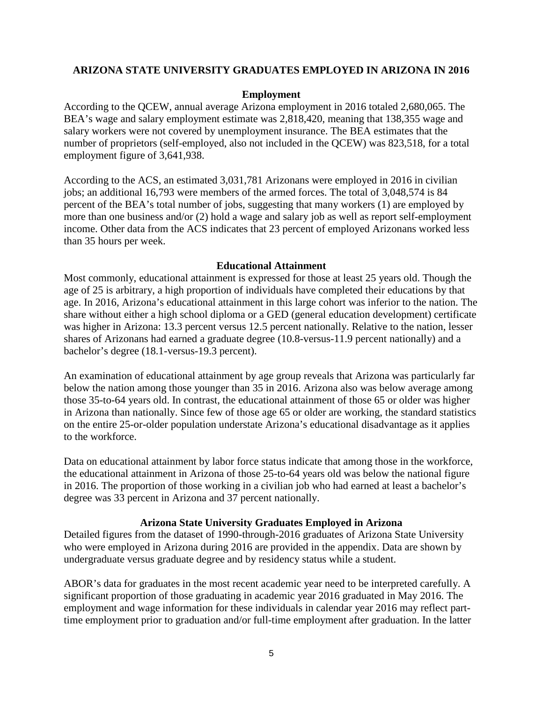#### **ARIZONA STATE UNIVERSITY GRADUATES EMPLOYED IN ARIZONA IN 2016**

#### **Employment**

According to the QCEW, annual average Arizona employment in 2016 totaled 2,680,065. The BEA's wage and salary employment estimate was 2,818,420, meaning that 138,355 wage and salary workers were not covered by unemployment insurance. The BEA estimates that the number of proprietors (self-employed, also not included in the QCEW) was 823,518, for a total employment figure of 3,641,938.

According to the ACS, an estimated 3,031,781 Arizonans were employed in 2016 in civilian jobs; an additional 16,793 were members of the armed forces. The total of 3,048,574 is 84 percent of the BEA's total number of jobs, suggesting that many workers (1) are employed by more than one business and/or (2) hold a wage and salary job as well as report self-employment income. Other data from the ACS indicates that 23 percent of employed Arizonans worked less than 35 hours per week.

#### **Educational Attainment**

Most commonly, educational attainment is expressed for those at least 25 years old. Though the age of 25 is arbitrary, a high proportion of individuals have completed their educations by that age. In 2016, Arizona's educational attainment in this large cohort was inferior to the nation. The share without either a high school diploma or a GED (general education development) certificate was higher in Arizona: 13.3 percent versus 12.5 percent nationally. Relative to the nation, lesser shares of Arizonans had earned a graduate degree (10.8-versus-11.9 percent nationally) and a bachelor's degree (18.1-versus-19.3 percent).

An examination of educational attainment by age group reveals that Arizona was particularly far below the nation among those younger than 35 in 2016. Arizona also was below average among those 35-to-64 years old. In contrast, the educational attainment of those 65 or older was higher in Arizona than nationally. Since few of those age 65 or older are working, the standard statistics on the entire 25-or-older population understate Arizona's educational disadvantage as it applies to the workforce.

Data on educational attainment by labor force status indicate that among those in the workforce, the educational attainment in Arizona of those 25-to-64 years old was below the national figure in 2016. The proportion of those working in a civilian job who had earned at least a bachelor's degree was 33 percent in Arizona and 37 percent nationally.

#### **Arizona State University Graduates Employed in Arizona**

Detailed figures from the dataset of 1990-through-2016 graduates of Arizona State University who were employed in Arizona during 2016 are provided in the appendix. Data are shown by undergraduate versus graduate degree and by residency status while a student.

ABOR's data for graduates in the most recent academic year need to be interpreted carefully. A significant proportion of those graduating in academic year 2016 graduated in May 2016. The employment and wage information for these individuals in calendar year 2016 may reflect parttime employment prior to graduation and/or full-time employment after graduation. In the latter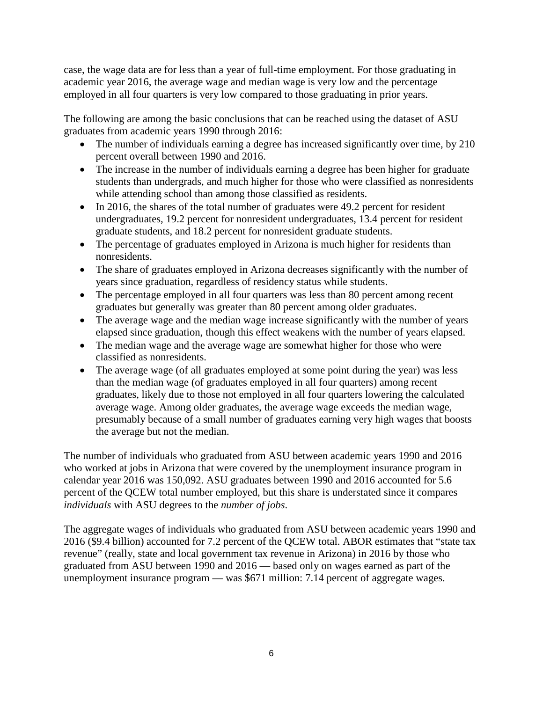case, the wage data are for less than a year of full-time employment. For those graduating in academic year 2016, the average wage and median wage is very low and the percentage employed in all four quarters is very low compared to those graduating in prior years.

The following are among the basic conclusions that can be reached using the dataset of ASU graduates from academic years 1990 through 2016:

- The number of individuals earning a degree has increased significantly over time, by 210 percent overall between 1990 and 2016.
- The increase in the number of individuals earning a degree has been higher for graduate students than undergrads, and much higher for those who were classified as nonresidents while attending school than among those classified as residents.
- In 2016, the shares of the total number of graduates were 49.2 percent for resident undergraduates, 19.2 percent for nonresident undergraduates, 13.4 percent for resident graduate students, and 18.2 percent for nonresident graduate students.
- The percentage of graduates employed in Arizona is much higher for residents than nonresidents.
- The share of graduates employed in Arizona decreases significantly with the number of years since graduation, regardless of residency status while students.
- The percentage employed in all four quarters was less than 80 percent among recent graduates but generally was greater than 80 percent among older graduates.
- The average wage and the median wage increase significantly with the number of years elapsed since graduation, though this effect weakens with the number of years elapsed.
- The median wage and the average wage are somewhat higher for those who were classified as nonresidents.
- The average wage (of all graduates employed at some point during the year) was less than the median wage (of graduates employed in all four quarters) among recent graduates, likely due to those not employed in all four quarters lowering the calculated average wage. Among older graduates, the average wage exceeds the median wage, presumably because of a small number of graduates earning very high wages that boosts the average but not the median.

The number of individuals who graduated from ASU between academic years 1990 and 2016 who worked at jobs in Arizona that were covered by the unemployment insurance program in calendar year 2016 was 150,092. ASU graduates between 1990 and 2016 accounted for 5.6 percent of the QCEW total number employed, but this share is understated since it compares *individuals* with ASU degrees to the *number of jobs*.

The aggregate wages of individuals who graduated from ASU between academic years 1990 and 2016 (\$9.4 billion) accounted for 7.2 percent of the QCEW total. ABOR estimates that "state tax revenue" (really, state and local government tax revenue in Arizona) in 2016 by those who graduated from ASU between 1990 and 2016 — based only on wages earned as part of the unemployment insurance program — was \$671 million: 7.14 percent of aggregate wages.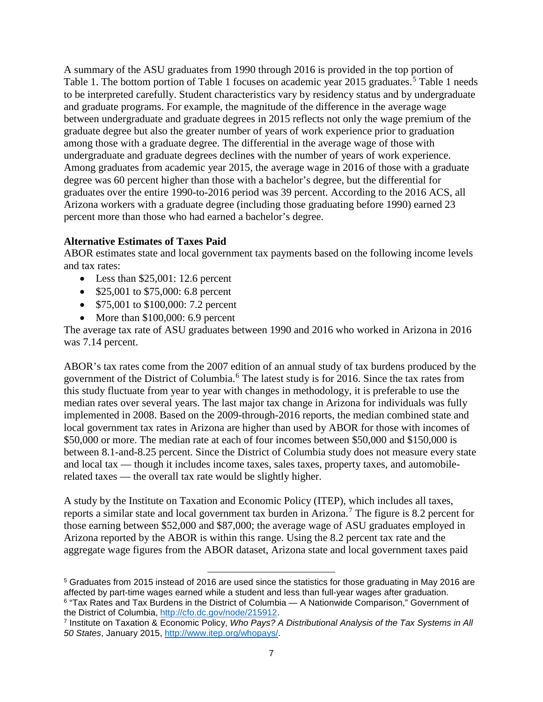A summary of the ASU graduates from 1990 through 2016 is provided in the top portion of Table 1. The bottom portion of Table 1 focuses on academic year 201[5](#page-8-0) graduates.<sup>5</sup> Table 1 needs to be interpreted carefully. Student characteristics vary by residency status and by undergraduate and graduate programs. For example, the magnitude of the difference in the average wage between undergraduate and graduate degrees in 2015 reflects not only the wage premium of the graduate degree but also the greater number of years of work experience prior to graduation among those with a graduate degree. The differential in the average wage of those with undergraduate and graduate degrees declines with the number of years of work experience. Among graduates from academic year 2015, the average wage in 2016 of those with a graduate degree was 60 percent higher than those with a bachelor's degree, but the differential for graduates over the entire 1990-to-2016 period was 39 percent. According to the 2016 ACS, all Arizona workers with a graduate degree (including those graduating before 1990) earned 23 percent more than those who had earned a bachelor's degree.

## **Alternative Estimates of Taxes Paid**

ABOR estimates state and local government tax payments based on the following income levels and tax rates:

- Less than  $$25,001:12.6$  percent
- \$25,001 to \$75,000: 6.8 percent
- \$75,001 to \$100,000: 7.2 percent
- More than \$100,000: 6.9 percent

The average tax rate of ASU graduates between 1990 and 2016 who worked in Arizona in 2016 was 7.14 percent.

ABOR's tax rates come from the 2007 edition of an annual study of tax burdens produced by the government of the District of Columbia.[6](#page-8-1) The latest study is for 2016. Since the tax rates from this study fluctuate from year to year with changes in methodology, it is preferable to use the median rates over several years. The last major tax change in Arizona for individuals was fully implemented in 2008. Based on the 2009-through-2016 reports, the median combined state and local government tax rates in Arizona are higher than used by ABOR for those with incomes of \$50,000 or more. The median rate at each of four incomes between \$50,000 and \$150,000 is between 8.1-and-8.25 percent. Since the District of Columbia study does not measure every state and local tax — though it includes income taxes, sales taxes, property taxes, and automobilerelated taxes — the overall tax rate would be slightly higher.

A study by the Institute on Taxation and Economic Policy (ITEP), which includes all taxes, reports a similar state and local government tax burden in Arizona.<sup>[7](#page-8-2)</sup> The figure is 8.2 percent for those earning between \$52,000 and \$87,000; the average wage of ASU graduates employed in Arizona reported by the ABOR is within this range. Using the 8.2 percent tax rate and the aggregate wage figures from the ABOR dataset, Arizona state and local government taxes paid

<span id="page-8-0"></span> $\overline{\phantom{a}}$ <sup>5</sup> Graduates from 2015 instead of 2016 are used since the statistics for those graduating in May 2016 are affected by part-time wages earned while a student and less than full-year wages after graduation. <sup>6</sup> "Tax Rates and Tax Burdens in the District of Columbia — A Nationwide Comparison," Government of the District of Columbia, [http://cfo.dc.gov/node/215912.](http://cfo.dc.gov/node/215912)

<span id="page-8-2"></span><span id="page-8-1"></span><sup>7</sup> Institute on Taxation & Economic Policy, *Who Pays? A Distributional Analysis of the Tax Systems in All 50 States*, January 2015, [http://www.itep.org/whopays/.](http://www.itep.org/whopays/)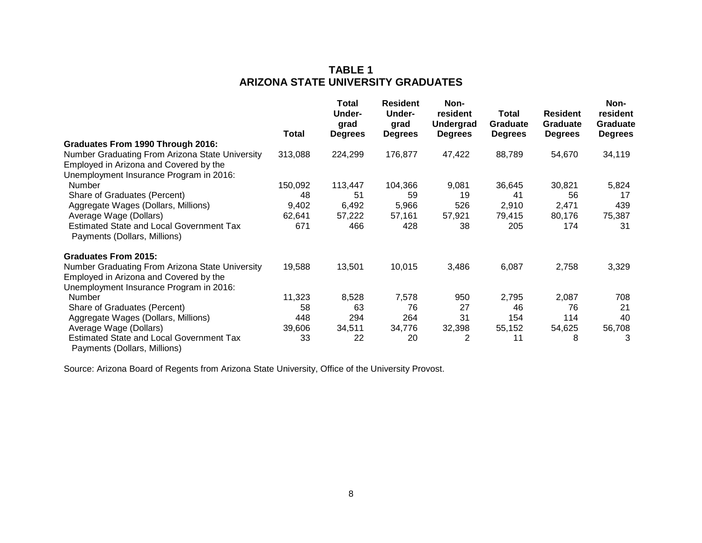## **TABLE 1 ARIZONA STATE UNIVERSITY GRADUATES**

|                                                                                           | Total   | <b>Total</b><br>Under-<br>grad<br><b>Degrees</b> | <b>Resident</b><br>Under-<br>grad<br><b>Degrees</b> | Non-<br>resident<br><b>Undergrad</b><br><b>Degrees</b> | Total<br><b>Graduate</b><br><b>Degrees</b> | <b>Resident</b><br><b>Graduate</b><br><b>Degrees</b> | Non-<br>resident<br>Graduate<br><b>Degrees</b> |
|-------------------------------------------------------------------------------------------|---------|--------------------------------------------------|-----------------------------------------------------|--------------------------------------------------------|--------------------------------------------|------------------------------------------------------|------------------------------------------------|
| Graduates From 1990 Through 2016:                                                         |         |                                                  |                                                     |                                                        |                                            |                                                      |                                                |
| Number Graduating From Arizona State University                                           | 313,088 | 224,299                                          | 176,877                                             | 47,422                                                 | 88,789                                     | 54,670                                               | 34,119                                         |
| Employed in Arizona and Covered by the                                                    |         |                                                  |                                                     |                                                        |                                            |                                                      |                                                |
| Unemployment Insurance Program in 2016:                                                   |         |                                                  |                                                     |                                                        |                                            |                                                      |                                                |
| Number                                                                                    | 150,092 | 113,447                                          | 104,366                                             | 9,081                                                  | 36,645                                     | 30,821                                               | 5,824                                          |
| Share of Graduates (Percent)                                                              | 48      | 51                                               | 59                                                  | 19                                                     | 41                                         | 56                                                   | 17                                             |
| Aggregate Wages (Dollars, Millions)                                                       | 9,402   | 6,492                                            | 5,966                                               | 526                                                    | 2,910                                      | 2,471                                                | 439                                            |
| Average Wage (Dollars)                                                                    | 62,641  | 57,222                                           | 57,161                                              | 57,921                                                 | 79,415                                     | 80,176                                               | 75,387                                         |
| <b>Estimated State and Local Government Tax</b><br>Payments (Dollars, Millions)           | 671     | 466                                              | 428                                                 | 38                                                     | 205                                        | 174                                                  | 31                                             |
| <b>Graduates From 2015:</b>                                                               |         |                                                  |                                                     |                                                        |                                            |                                                      |                                                |
| Number Graduating From Arizona State University<br>Employed in Arizona and Covered by the | 19,588  | 13,501                                           | 10,015                                              | 3,486                                                  | 6,087                                      | 2,758                                                | 3,329                                          |
| Unemployment Insurance Program in 2016:                                                   |         |                                                  |                                                     |                                                        |                                            |                                                      |                                                |
| <b>Number</b>                                                                             | 11,323  | 8,528                                            | 7,578                                               | 950                                                    | 2,795                                      | 2,087                                                | 708                                            |
| Share of Graduates (Percent)                                                              | 58      | 63                                               | 76                                                  | 27                                                     | 46                                         | 76                                                   | 21                                             |
| Aggregate Wages (Dollars, Millions)                                                       | 448     | 294                                              | 264                                                 | 31                                                     | 154                                        | 114                                                  | 40                                             |
| Average Wage (Dollars)                                                                    | 39,606  | 34,511                                           | 34,776                                              | 32,398                                                 | 55,152                                     | 54,625                                               | 56,708                                         |
| <b>Estimated State and Local Government Tax</b><br>Payments (Dollars, Millions)           | 33      | 22                                               | 20                                                  | 2                                                      | 11                                         | 8                                                    | 3                                              |

Source: Arizona Board of Regents from Arizona State University, Office of the University Provost.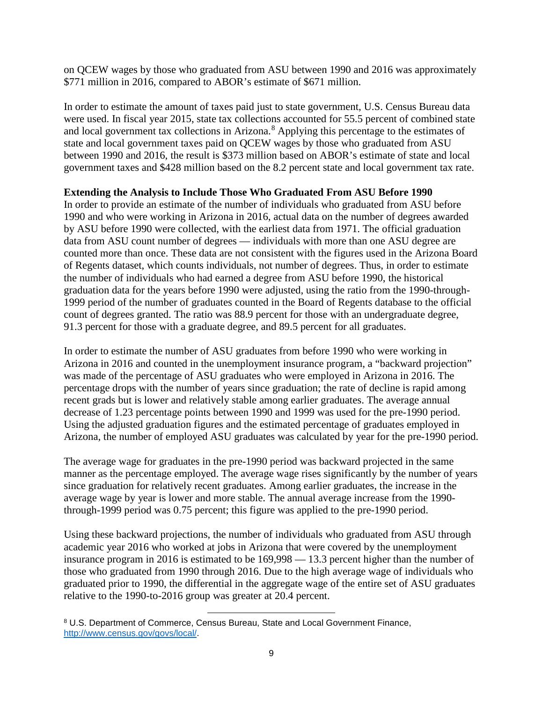on QCEW wages by those who graduated from ASU between 1990 and 2016 was approximately \$771 million in 2016, compared to ABOR's estimate of \$671 million.

In order to estimate the amount of taxes paid just to state government, U.S. Census Bureau data were used. In fiscal year 2015, state tax collections accounted for 55.5 percent of combined state and local government tax collections in Arizona. [8](#page-10-0) Applying this percentage to the estimates of state and local government taxes paid on QCEW wages by those who graduated from ASU between 1990 and 2016, the result is \$373 million based on ABOR's estimate of state and local government taxes and \$428 million based on the 8.2 percent state and local government tax rate.

## **Extending the Analysis to Include Those Who Graduated From ASU Before 1990**

In order to provide an estimate of the number of individuals who graduated from ASU before 1990 and who were working in Arizona in 2016, actual data on the number of degrees awarded by ASU before 1990 were collected, with the earliest data from 1971. The official graduation data from ASU count number of degrees — individuals with more than one ASU degree are counted more than once. These data are not consistent with the figures used in the Arizona Board of Regents dataset, which counts individuals, not number of degrees. Thus, in order to estimate the number of individuals who had earned a degree from ASU before 1990, the historical graduation data for the years before 1990 were adjusted, using the ratio from the 1990-through-1999 period of the number of graduates counted in the Board of Regents database to the official count of degrees granted. The ratio was 88.9 percent for those with an undergraduate degree, 91.3 percent for those with a graduate degree, and 89.5 percent for all graduates.

In order to estimate the number of ASU graduates from before 1990 who were working in Arizona in 2016 and counted in the unemployment insurance program, a "backward projection" was made of the percentage of ASU graduates who were employed in Arizona in 2016. The percentage drops with the number of years since graduation; the rate of decline is rapid among recent grads but is lower and relatively stable among earlier graduates. The average annual decrease of 1.23 percentage points between 1990 and 1999 was used for the pre-1990 period. Using the adjusted graduation figures and the estimated percentage of graduates employed in Arizona, the number of employed ASU graduates was calculated by year for the pre-1990 period.

The average wage for graduates in the pre-1990 period was backward projected in the same manner as the percentage employed. The average wage rises significantly by the number of years since graduation for relatively recent graduates. Among earlier graduates, the increase in the average wage by year is lower and more stable. The annual average increase from the 1990 through-1999 period was 0.75 percent; this figure was applied to the pre-1990 period.

Using these backward projections, the number of individuals who graduated from ASU through academic year 2016 who worked at jobs in Arizona that were covered by the unemployment insurance program in 2016 is estimated to be 169,998 — 13.3 percent higher than the number of those who graduated from 1990 through 2016. Due to the high average wage of individuals who graduated prior to 1990, the differential in the aggregate wage of the entire set of ASU graduates relative to the 1990-to-2016 group was greater at 20.4 percent.

l

<span id="page-10-0"></span><sup>8</sup> U.S. Department of Commerce, Census Bureau, State and Local Government Finance, [http://www.census.gov/govs/local/.](http://www.census.gov/govs/local/)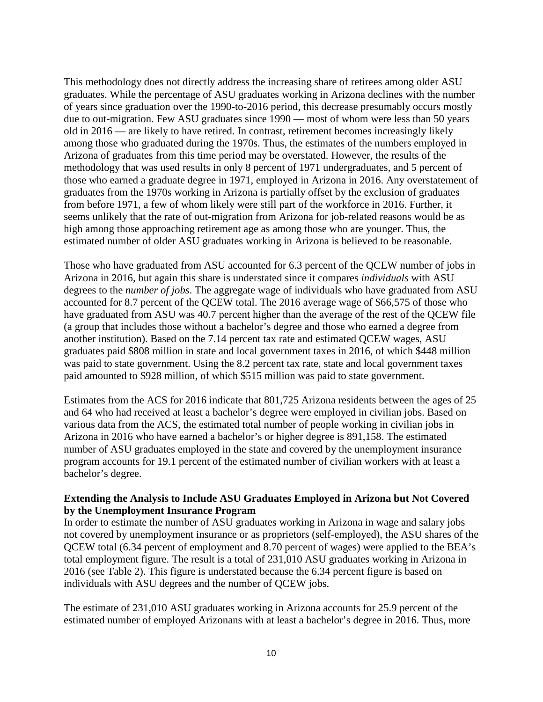This methodology does not directly address the increasing share of retirees among older ASU graduates. While the percentage of ASU graduates working in Arizona declines with the number of years since graduation over the 1990-to-2016 period, this decrease presumably occurs mostly due to out-migration. Few ASU graduates since 1990 — most of whom were less than 50 years old in 2016 — are likely to have retired. In contrast, retirement becomes increasingly likely among those who graduated during the 1970s. Thus, the estimates of the numbers employed in Arizona of graduates from this time period may be overstated. However, the results of the methodology that was used results in only 8 percent of 1971 undergraduates, and 5 percent of those who earned a graduate degree in 1971, employed in Arizona in 2016. Any overstatement of graduates from the 1970s working in Arizona is partially offset by the exclusion of graduates from before 1971, a few of whom likely were still part of the workforce in 2016. Further, it seems unlikely that the rate of out-migration from Arizona for job-related reasons would be as high among those approaching retirement age as among those who are younger. Thus, the estimated number of older ASU graduates working in Arizona is believed to be reasonable.

Those who have graduated from ASU accounted for 6.3 percent of the QCEW number of jobs in Arizona in 2016, but again this share is understated since it compares *individuals* with ASU degrees to the *number of jobs*. The aggregate wage of individuals who have graduated from ASU accounted for 8.7 percent of the QCEW total. The 2016 average wage of \$66,575 of those who have graduated from ASU was 40.7 percent higher than the average of the rest of the QCEW file (a group that includes those without a bachelor's degree and those who earned a degree from another institution). Based on the 7.14 percent tax rate and estimated QCEW wages, ASU graduates paid \$808 million in state and local government taxes in 2016, of which \$448 million was paid to state government. Using the 8.2 percent tax rate, state and local government taxes paid amounted to \$928 million, of which \$515 million was paid to state government.

Estimates from the ACS for 2016 indicate that 801,725 Arizona residents between the ages of 25 and 64 who had received at least a bachelor's degree were employed in civilian jobs. Based on various data from the ACS, the estimated total number of people working in civilian jobs in Arizona in 2016 who have earned a bachelor's or higher degree is 891,158. The estimated number of ASU graduates employed in the state and covered by the unemployment insurance program accounts for 19.1 percent of the estimated number of civilian workers with at least a bachelor's degree.

## **Extending the Analysis to Include ASU Graduates Employed in Arizona but Not Covered by the Unemployment Insurance Program**

In order to estimate the number of ASU graduates working in Arizona in wage and salary jobs not covered by unemployment insurance or as proprietors (self-employed), the ASU shares of the QCEW total (6.34 percent of employment and 8.70 percent of wages) were applied to the BEA's total employment figure. The result is a total of 231,010 ASU graduates working in Arizona in 2016 (see Table 2). This figure is understated because the 6.34 percent figure is based on individuals with ASU degrees and the number of QCEW jobs.

The estimate of 231,010 ASU graduates working in Arizona accounts for 25.9 percent of the estimated number of employed Arizonans with at least a bachelor's degree in 2016. Thus, more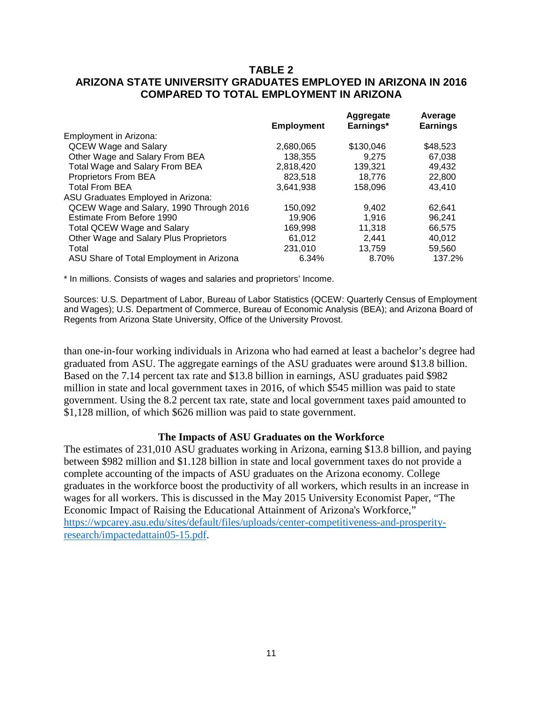## **TABLE 2 ARIZONA STATE UNIVERSITY GRADUATES EMPLOYED IN ARIZONA IN 2016 COMPARED TO TOTAL EMPLOYMENT IN ARIZONA**

|                                          | <b>Employment</b> | Aggregate<br>Earnings* | Average<br><b>Earnings</b> |
|------------------------------------------|-------------------|------------------------|----------------------------|
| <b>Employment in Arizona:</b>            |                   |                        |                            |
| <b>QCEW Wage and Salary</b>              | 2,680,065         | \$130,046              | \$48,523                   |
| Other Wage and Salary From BEA           | 138,355           | 9.275                  | 67,038                     |
| Total Wage and Salary From BEA           | 2,818,420         | 139,321                | 49.432                     |
| Proprietors From BEA                     | 823,518           | 18.776                 | 22,800                     |
| <b>Total From BEA</b>                    | 3,641,938         | 158,096                | 43.410                     |
| ASU Graduates Employed in Arizona:       |                   |                        |                            |
| QCEW Wage and Salary, 1990 Through 2016  | 150,092           | 9.402                  | 62.641                     |
| Estimate From Before 1990                | 19.906            | 1.916                  | 96.241                     |
| <b>Total QCEW Wage and Salary</b>        | 169,998           | 11.318                 | 66.575                     |
| Other Wage and Salary Plus Proprietors   | 61.012            | 2.441                  | 40.012                     |
| Total                                    | 231,010           | 13.759                 | 59,560                     |
| ASU Share of Total Employment in Arizona | 6.34%             | 8.70%                  | 137.2%                     |

\* In millions. Consists of wages and salaries and proprietors' Income.

Sources: U.S. Department of Labor, Bureau of Labor Statistics (QCEW: Quarterly Census of Employment and Wages); U.S. Department of Commerce, Bureau of Economic Analysis (BEA); and Arizona Board of Regents from Arizona State University, Office of the University Provost.

than one-in-four working individuals in Arizona who had earned at least a bachelor's degree had graduated from ASU. The aggregate earnings of the ASU graduates were around \$13.8 billion. Based on the 7.14 percent tax rate and \$13.8 billion in earnings, ASU graduates paid \$982 million in state and local government taxes in 2016, of which \$545 million was paid to state government. Using the 8.2 percent tax rate, state and local government taxes paid amounted to \$1,128 million, of which \$626 million was paid to state government.

#### **The Impacts of ASU Graduates on the Workforce**

The estimates of 231,010 ASU graduates working in Arizona, earning \$13.8 billion, and paying between \$982 million and \$1.128 billion in state and local government taxes do not provide a complete accounting of the impacts of ASU graduates on the Arizona economy. College graduates in the workforce boost the productivity of all workers, which results in an increase in wages for all workers. This is discussed in the May 2015 University Economist Paper, "The Economic Impact of Raising the Educational Attainment of Arizona's Workforce," [https://wpcarey.asu.edu/sites/default/files/uploads/center-competitiveness-and-prosperity](https://wpcarey.asu.edu/sites/default/files/uploads/center-competitiveness-and-prosperity-research/impactedattain05-15.pdf)[research/impactedattain05-15.pdf.](https://wpcarey.asu.edu/sites/default/files/uploads/center-competitiveness-and-prosperity-research/impactedattain05-15.pdf)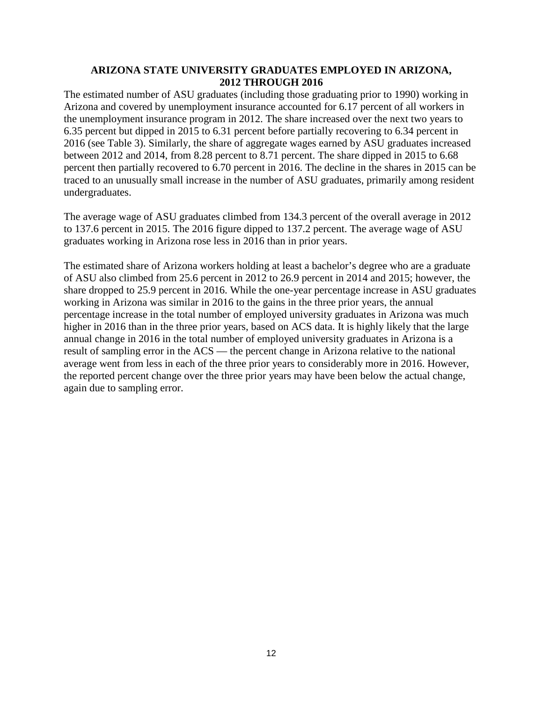### **ARIZONA STATE UNIVERSITY GRADUATES EMPLOYED IN ARIZONA, 2012 THROUGH 2016**

The estimated number of ASU graduates (including those graduating prior to 1990) working in Arizona and covered by unemployment insurance accounted for 6.17 percent of all workers in the unemployment insurance program in 2012. The share increased over the next two years to 6.35 percent but dipped in 2015 to 6.31 percent before partially recovering to 6.34 percent in 2016 (see Table 3). Similarly, the share of aggregate wages earned by ASU graduates increased between 2012 and 2014, from 8.28 percent to 8.71 percent. The share dipped in 2015 to 6.68 percent then partially recovered to 6.70 percent in 2016. The decline in the shares in 2015 can be traced to an unusually small increase in the number of ASU graduates, primarily among resident undergraduates.

The average wage of ASU graduates climbed from 134.3 percent of the overall average in 2012 to 137.6 percent in 2015. The 2016 figure dipped to 137.2 percent. The average wage of ASU graduates working in Arizona rose less in 2016 than in prior years.

The estimated share of Arizona workers holding at least a bachelor's degree who are a graduate of ASU also climbed from 25.6 percent in 2012 to 26.9 percent in 2014 and 2015; however, the share dropped to 25.9 percent in 2016. While the one-year percentage increase in ASU graduates working in Arizona was similar in 2016 to the gains in the three prior years, the annual percentage increase in the total number of employed university graduates in Arizona was much higher in 2016 than in the three prior years, based on ACS data. It is highly likely that the large annual change in 2016 in the total number of employed university graduates in Arizona is a result of sampling error in the ACS — the percent change in Arizona relative to the national average went from less in each of the three prior years to considerably more in 2016. However, the reported percent change over the three prior years may have been below the actual change, again due to sampling error.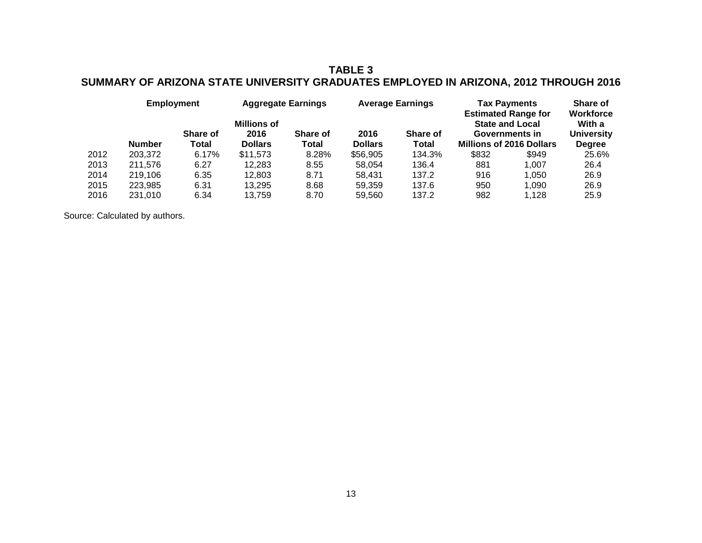## **TABLE 3 SUMMARY OF ARIZONA STATE UNIVERSITY GRADUATES EMPLOYED IN ARIZONA, 2012 THROUGH 2016**

|      |               | <b>Employment</b>        |                                              | <b>Aggregate Earnings</b> |                        | <b>Average Earnings</b> | <b>Tax Payments</b><br><b>Estimated Range for</b> | Share of<br><b>Workforce</b>                                                |                                              |
|------|---------------|--------------------------|----------------------------------------------|---------------------------|------------------------|-------------------------|---------------------------------------------------|-----------------------------------------------------------------------------|----------------------------------------------|
|      | <b>Number</b> | <b>Share of</b><br>Total | <b>Millions of</b><br>2016<br><b>Dollars</b> | <b>Share of</b><br>Total  | 2016<br><b>Dollars</b> | Share of<br>Total       |                                                   | <b>State and Local</b><br>Governments in<br><b>Millions of 2016 Dollars</b> | With a<br><b>University</b><br><b>Degree</b> |
| 2012 | 203,372       | 6.17%                    | \$11.573                                     | 8.28%                     | \$56,905               | 134.3%                  | \$832                                             | \$949                                                                       | 25.6%                                        |
| 2013 | 211.576       | 6.27                     | 12.283                                       | 8.55                      | 58.054                 | 136.4                   | 881                                               | 1.007                                                                       | 26.4                                         |
| 2014 | 219.106       | 6.35                     | 12.803                                       | 8.71                      | 58.431                 | 137.2                   | 916                                               | 1.050                                                                       | 26.9                                         |
| 2015 | 223.985       | 6.31                     | 13.295                                       | 8.68                      | 59.359                 | 137.6                   | 950                                               | 1.090                                                                       | 26.9                                         |
| 2016 | 231.010       | 6.34                     | 13.759                                       | 8.70                      | 59.560                 | 137.2                   | 982                                               | 1.128                                                                       | 25.9                                         |

Source: Calculated by authors.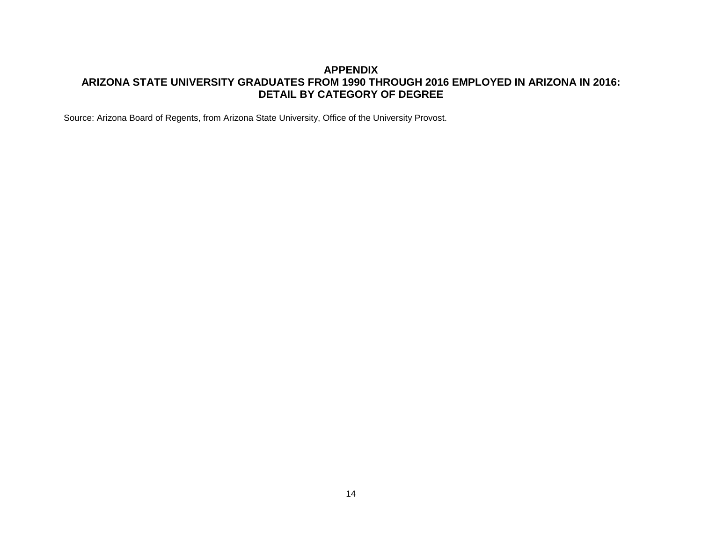## **APPENDIX ARIZONA STATE UNIVERSITY GRADUATES FROM 1990 THROUGH 2016 EMPLOYED IN ARIZONA IN 2016: DETAIL BY CATEGORY OF DEGREE**

Source: Arizona Board of Regents, from Arizona State University, Office of the University Provost.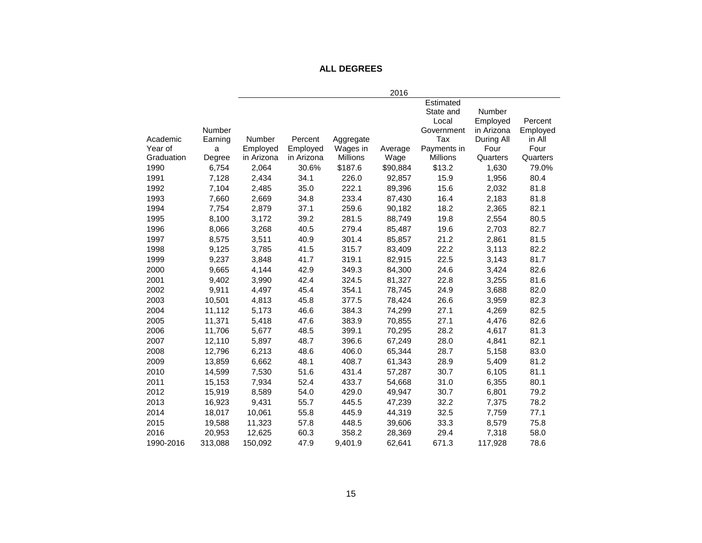## **ALL DEGREES**

|            |               |            |            |                 | 2016     |                 |               |          |
|------------|---------------|------------|------------|-----------------|----------|-----------------|---------------|----------|
|            |               |            |            |                 |          | Estimated       |               |          |
|            |               |            |            |                 |          | State and       | <b>Number</b> |          |
|            |               |            |            |                 |          | Local           | Employed      | Percent  |
|            | <b>Number</b> |            |            |                 |          | Government      | in Arizona    | Employed |
| Academic   | Earning       | Number     | Percent    | Aggregate       |          | Tax             | During All    | in All   |
| Year of    | a             | Employed   | Employed   | Wages in        | Average  | Payments in     | Four          | Four     |
| Graduation | Degree        | in Arizona | in Arizona | <b>Millions</b> | Wage     | <b>Millions</b> | Quarters      | Quarters |
| 1990       | 6,754         | 2,064      | 30.6%      | \$187.6         | \$90,884 | \$13.2          | 1,630         | 79.0%    |
| 1991       | 7,128         | 2,434      | 34.1       | 226.0           | 92,857   | 15.9            | 1,956         | 80.4     |
| 1992       | 7,104         | 2,485      | 35.0       | 222.1           | 89,396   | 15.6            | 2,032         | 81.8     |
| 1993       | 7,660         | 2,669      | 34.8       | 233.4           | 87,430   | 16.4            | 2,183         | 81.8     |
| 1994       | 7,754         | 2,879      | 37.1       | 259.6           | 90,182   | 18.2            | 2,365         | 82.1     |
| 1995       | 8,100         | 3,172      | 39.2       | 281.5           | 88,749   | 19.8            | 2,554         | 80.5     |
| 1996       | 8,066         | 3,268      | 40.5       | 279.4           | 85,487   | 19.6            | 2,703         | 82.7     |
| 1997       | 8,575         | 3,511      | 40.9       | 301.4           | 85,857   | 21.2            | 2,861         | 81.5     |
| 1998       | 9,125         | 3,785      | 41.5       | 315.7           | 83,409   | 22.2            | 3,113         | 82.2     |
| 1999       | 9,237         | 3,848      | 41.7       | 319.1           | 82,915   | 22.5            | 3,143         | 81.7     |
| 2000       | 9,665         | 4,144      | 42.9       | 349.3           | 84,300   | 24.6            | 3,424         | 82.6     |
| 2001       | 9,402         | 3,990      | 42.4       | 324.5           | 81,327   | 22.8            | 3,255         | 81.6     |
| 2002       | 9,911         | 4,497      | 45.4       | 354.1           | 78,745   | 24.9            | 3,688         | 82.0     |
| 2003       | 10,501        | 4,813      | 45.8       | 377.5           | 78,424   | 26.6            | 3,959         | 82.3     |
| 2004       | 11,112        | 5,173      | 46.6       | 384.3           | 74,299   | 27.1            | 4,269         | 82.5     |
| 2005       | 11,371        | 5,418      | 47.6       | 383.9           | 70,855   | 27.1            | 4,476         | 82.6     |
| 2006       | 11,706        | 5,677      | 48.5       | 399.1           | 70,295   | 28.2            | 4,617         | 81.3     |
| 2007       | 12,110        | 5,897      | 48.7       | 396.6           | 67,249   | 28.0            | 4,841         | 82.1     |
| 2008       | 12,796        | 6,213      | 48.6       | 406.0           | 65,344   | 28.7            | 5,158         | 83.0     |
| 2009       | 13,859        | 6,662      | 48.1       | 408.7           | 61,343   | 28.9            | 5,409         | 81.2     |
| 2010       | 14,599        | 7,530      | 51.6       | 431.4           | 57,287   | 30.7            | 6,105         | 81.1     |
| 2011       | 15,153        | 7,934      | 52.4       | 433.7           | 54,668   | 31.0            | 6,355         | 80.1     |
| 2012       | 15,919        | 8,589      | 54.0       | 429.0           | 49,947   | 30.7            | 6,801         | 79.2     |
| 2013       | 16,923        | 9,431      | 55.7       | 445.5           | 47,239   | 32.2            | 7,375         | 78.2     |
| 2014       | 18,017        | 10,061     | 55.8       | 445.9           | 44,319   | 32.5            | 7,759         | 77.1     |
| 2015       | 19,588        | 11,323     | 57.8       | 448.5           | 39,606   | 33.3            | 8,579         | 75.8     |
| 2016       | 20,953        | 12,625     | 60.3       | 358.2           | 28,369   | 29.4            | 7,318         | 58.0     |
| 1990-2016  | 313,088       | 150,092    | 47.9       | 9,401.9         | 62,641   | 671.3           | 117,928       | 78.6     |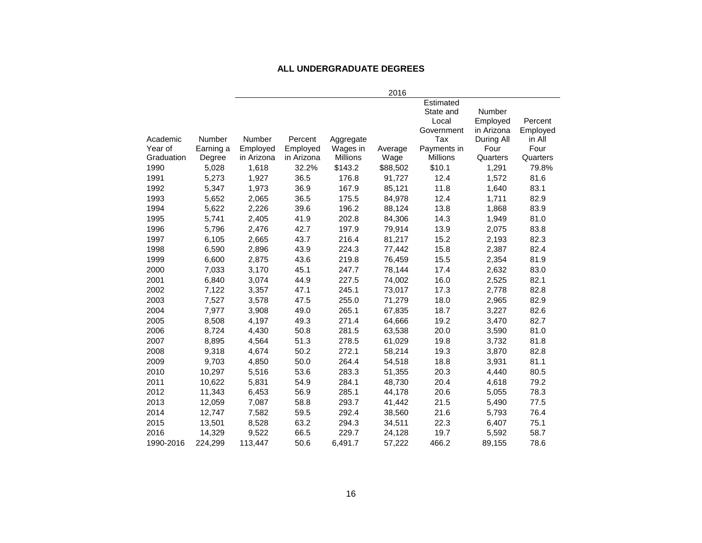#### **ALL UNDERGRADUATE DEGREES**

|            |           |            |            |                 | 2016     |                 |            |          |
|------------|-----------|------------|------------|-----------------|----------|-----------------|------------|----------|
|            |           |            |            |                 |          | Estimated       |            |          |
|            |           |            |            |                 |          | State and       | Number     |          |
|            |           |            |            |                 |          | Local           | Employed   | Percent  |
|            |           |            |            |                 |          | Government      | in Arizona | Employed |
| Academic   | Number    | Number     | Percent    | Aggregate       |          | Tax             | During All | in All   |
| Year of    | Earning a | Employed   | Employed   | Wages in        | Average  | Payments in     | Four       | Four     |
| Graduation | Degree    | in Arizona | in Arizona | <b>Millions</b> | Wage     | <b>Millions</b> | Quarters   | Quarters |
| 1990       | 5,028     | 1,618      | 32.2%      | \$143.2         | \$88,502 | \$10.1          | 1,291      | 79.8%    |
| 1991       | 5,273     | 1,927      | 36.5       | 176.8           | 91,727   | 12.4            | 1,572      | 81.6     |
| 1992       | 5,347     | 1,973      | 36.9       | 167.9           | 85,121   | 11.8            | 1,640      | 83.1     |
| 1993       | 5,652     | 2,065      | 36.5       | 175.5           | 84,978   | 12.4            | 1,711      | 82.9     |
| 1994       | 5,622     | 2,226      | 39.6       | 196.2           | 88,124   | 13.8            | 1,868      | 83.9     |
| 1995       | 5,741     | 2,405      | 41.9       | 202.8           | 84,306   | 14.3            | 1,949      | 81.0     |
| 1996       | 5,796     | 2,476      | 42.7       | 197.9           | 79,914   | 13.9            | 2,075      | 83.8     |
| 1997       | 6,105     | 2,665      | 43.7       | 216.4           | 81,217   | 15.2            | 2,193      | 82.3     |
| 1998       | 6,590     | 2,896      | 43.9       | 224.3           | 77,442   | 15.8            | 2,387      | 82.4     |
| 1999       | 6,600     | 2,875      | 43.6       | 219.8           | 76,459   | 15.5            | 2,354      | 81.9     |
| 2000       | 7,033     | 3,170      | 45.1       | 247.7           | 78,144   | 17.4            | 2,632      | 83.0     |
| 2001       | 6,840     | 3,074      | 44.9       | 227.5           | 74,002   | 16.0            | 2,525      | 82.1     |
| 2002       | 7,122     | 3,357      | 47.1       | 245.1           | 73,017   | 17.3            | 2,778      | 82.8     |
| 2003       | 7,527     | 3,578      | 47.5       | 255.0           | 71,279   | 18.0            | 2,965      | 82.9     |
| 2004       | 7,977     | 3,908      | 49.0       | 265.1           | 67,835   | 18.7            | 3,227      | 82.6     |
| 2005       | 8,508     | 4,197      | 49.3       | 271.4           | 64,666   | 19.2            | 3,470      | 82.7     |
| 2006       | 8,724     | 4,430      | 50.8       | 281.5           | 63,538   | 20.0            | 3,590      | 81.0     |
| 2007       | 8,895     | 4,564      | 51.3       | 278.5           | 61,029   | 19.8            | 3,732      | 81.8     |
| 2008       | 9,318     | 4,674      | 50.2       | 272.1           | 58,214   | 19.3            | 3,870      | 82.8     |
| 2009       | 9,703     | 4,850      | 50.0       | 264.4           | 54,518   | 18.8            | 3,931      | 81.1     |
| 2010       | 10,297    | 5,516      | 53.6       | 283.3           | 51,355   | 20.3            | 4,440      | 80.5     |
| 2011       | 10,622    | 5,831      | 54.9       | 284.1           | 48,730   | 20.4            | 4,618      | 79.2     |
| 2012       | 11,343    | 6,453      | 56.9       | 285.1           | 44,178   | 20.6            | 5,055      | 78.3     |
| 2013       | 12,059    | 7,087      | 58.8       | 293.7           | 41,442   | 21.5            | 5,490      | 77.5     |
| 2014       | 12,747    | 7,582      | 59.5       | 292.4           | 38,560   | 21.6            | 5,793      | 76.4     |
| 2015       | 13,501    | 8,528      | 63.2       | 294.3           | 34,511   | 22.3            | 6,407      | 75.1     |
| 2016       | 14,329    | 9,522      | 66.5       | 229.7           | 24,128   | 19.7            | 5,592      | 58.7     |
| 1990-2016  | 224,299   | 113,447    | 50.6       | 6,491.7         | 57,222   | 466.2           | 89,155     | 78.6     |
|            |           |            |            |                 |          |                 |            |          |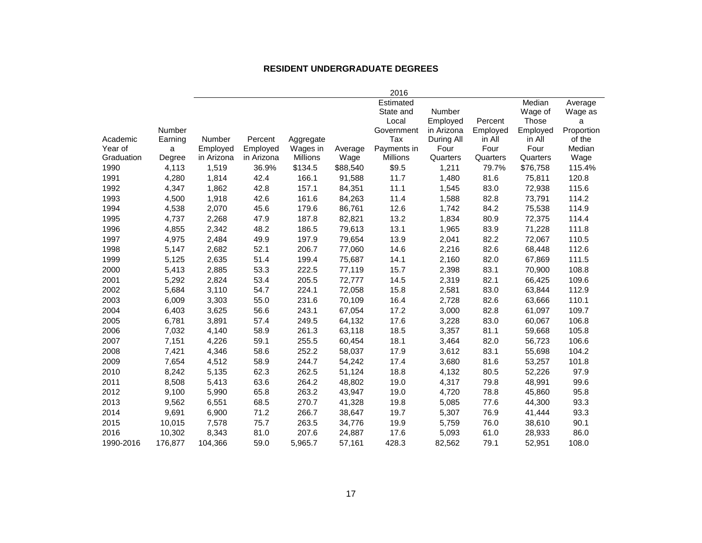#### **RESIDENT UNDERGRADUATE DEGREES**

|            |         |               |            |                 |          | 2016            |            |          |          |            |
|------------|---------|---------------|------------|-----------------|----------|-----------------|------------|----------|----------|------------|
|            |         |               |            |                 |          | Estimated       |            |          | Median   | Average    |
|            |         |               |            |                 |          | State and       | Number     |          | Wage of  | Wage as    |
|            |         |               |            |                 |          | Local           | Employed   | Percent  | Those    | a          |
|            | Number  |               |            |                 |          | Government      | in Arizona | Employed | Employed | Proportion |
| Academic   | Earning | <b>Number</b> | Percent    | Aggregate       |          | Tax             | During All | in All   | in All   | of the     |
| Year of    | a       | Employed      | Employed   | Wages in        | Average  | Payments in     | Four       | Four     | Four     | Median     |
| Graduation | Degree  | in Arizona    | in Arizona | <b>Millions</b> | Wage     | <b>Millions</b> | Quarters   | Quarters | Quarters | Wage       |
| 1990       | 4,113   | 1,519         | 36.9%      | \$134.5         | \$88,540 | \$9.5           | 1,211      | 79.7%    | \$76,758 | 115.4%     |
| 1991       | 4,280   | 1,814         | 42.4       | 166.1           | 91,588   | 11.7            | 1,480      | 81.6     | 75,811   | 120.8      |
| 1992       | 4,347   | 1,862         | 42.8       | 157.1           | 84,351   | 11.1            | 1,545      | 83.0     | 72,938   | 115.6      |
| 1993       | 4,500   | 1,918         | 42.6       | 161.6           | 84,263   | 11.4            | 1,588      | 82.8     | 73,791   | 114.2      |
| 1994       | 4,538   | 2,070         | 45.6       | 179.6           | 86,761   | 12.6            | 1,742      | 84.2     | 75,538   | 114.9      |
| 1995       | 4,737   | 2,268         | 47.9       | 187.8           | 82,821   | 13.2            | 1,834      | 80.9     | 72,375   | 114.4      |
| 1996       | 4,855   | 2,342         | 48.2       | 186.5           | 79,613   | 13.1            | 1,965      | 83.9     | 71,228   | 111.8      |
| 1997       | 4,975   | 2,484         | 49.9       | 197.9           | 79,654   | 13.9            | 2,041      | 82.2     | 72,067   | 110.5      |
| 1998       | 5,147   | 2,682         | 52.1       | 206.7           | 77,060   | 14.6            | 2,216      | 82.6     | 68,448   | 112.6      |
| 1999       | 5,125   | 2,635         | 51.4       | 199.4           | 75,687   | 14.1            | 2,160      | 82.0     | 67,869   | 111.5      |
| 2000       | 5,413   | 2,885         | 53.3       | 222.5           | 77,119   | 15.7            | 2,398      | 83.1     | 70,900   | 108.8      |
| 2001       | 5,292   | 2,824         | 53.4       | 205.5           | 72,777   | 14.5            | 2,319      | 82.1     | 66,425   | 109.6      |
| 2002       | 5,684   | 3,110         | 54.7       | 224.1           | 72,058   | 15.8            | 2,581      | 83.0     | 63,844   | 112.9      |
| 2003       | 6,009   | 3,303         | 55.0       | 231.6           | 70,109   | 16.4            | 2,728      | 82.6     | 63,666   | 110.1      |
| 2004       | 6,403   | 3,625         | 56.6       | 243.1           | 67,054   | 17.2            | 3,000      | 82.8     | 61,097   | 109.7      |
| 2005       | 6,781   | 3,891         | 57.4       | 249.5           | 64,132   | 17.6            | 3,228      | 83.0     | 60,067   | 106.8      |
| 2006       | 7,032   | 4,140         | 58.9       | 261.3           | 63,118   | 18.5            | 3,357      | 81.1     | 59,668   | 105.8      |
| 2007       | 7,151   | 4,226         | 59.1       | 255.5           | 60,454   | 18.1            | 3,464      | 82.0     | 56,723   | 106.6      |
| 2008       | 7,421   | 4,346         | 58.6       | 252.2           | 58,037   | 17.9            | 3,612      | 83.1     | 55,698   | 104.2      |
| 2009       | 7,654   | 4,512         | 58.9       | 244.7           | 54,242   | 17.4            | 3,680      | 81.6     | 53,257   | 101.8      |
| 2010       | 8,242   | 5,135         | 62.3       | 262.5           | 51,124   | 18.8            | 4,132      | 80.5     | 52,226   | 97.9       |
| 2011       | 8,508   | 5,413         | 63.6       | 264.2           | 48,802   | 19.0            | 4,317      | 79.8     | 48,991   | 99.6       |
| 2012       | 9,100   | 5,990         | 65.8       | 263.2           | 43,947   | 19.0            | 4,720      | 78.8     | 45,860   | 95.8       |
| 2013       | 9,562   | 6,551         | 68.5       | 270.7           | 41,328   | 19.8            | 5,085      | 77.6     | 44,300   | 93.3       |
| 2014       | 9,691   | 6,900         | 71.2       | 266.7           | 38,647   | 19.7            | 5,307      | 76.9     | 41,444   | 93.3       |
| 2015       | 10,015  | 7,578         | 75.7       | 263.5           | 34,776   | 19.9            | 5,759      | 76.0     | 38,610   | 90.1       |
| 2016       | 10,302  | 8,343         | 81.0       | 207.6           | 24,887   | 17.6            | 5,093      | 61.0     | 28,933   | 86.0       |
| 1990-2016  | 176.877 | 104.366       | 59.0       | 5,965.7         | 57,161   | 428.3           | 82,562     | 79.1     | 52.951   | 108.0      |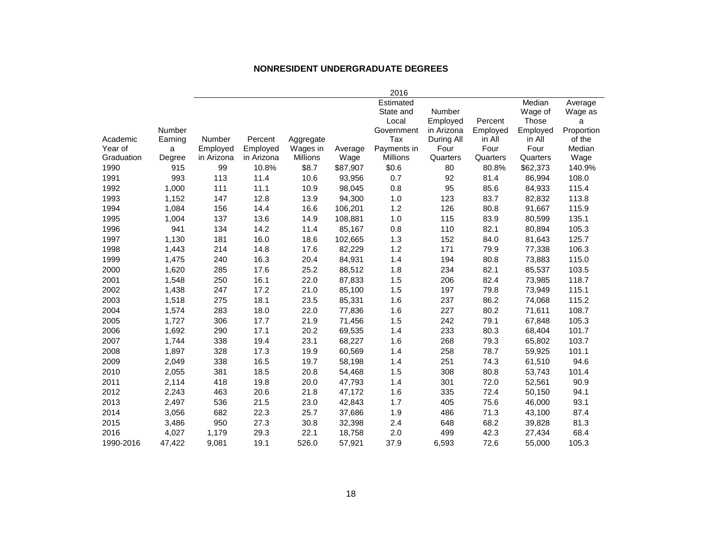#### **NONRESIDENT UNDERGRADUATE DEGREES**

|            |         |            |            |                 |          | 2016            |            |          |          |            |
|------------|---------|------------|------------|-----------------|----------|-----------------|------------|----------|----------|------------|
|            |         |            |            |                 |          | Estimated       |            |          | Median   | Average    |
|            |         |            |            |                 |          | State and       | Number     |          | Wage of  | Wage as    |
|            |         |            |            |                 |          | Local           | Employed   | Percent  | Those    | a          |
|            | Number  |            |            |                 |          | Government      | in Arizona | Employed | Employed | Proportion |
| Academic   | Earning | Number     | Percent    | Aggregate       |          | Tax             | During All | in All   | in All   | of the     |
| Year of    | a       | Employed   | Employed   | Wages in        | Average  | Payments in     | Four       | Four     | Four     | Median     |
| Graduation | Degree  | in Arizona | in Arizona | <b>Millions</b> | Wage     | <b>Millions</b> | Quarters   | Quarters | Quarters | Wage       |
| 1990       | 915     | 99         | 10.8%      | \$8.7           | \$87,907 | \$0.6           | 80         | 80.8%    | \$62,373 | 140.9%     |
| 1991       | 993     | 113        | 11.4       | 10.6            | 93,956   | 0.7             | 92         | 81.4     | 86,994   | 108.0      |
| 1992       | 1,000   | 111        | 11.1       | 10.9            | 98,045   | 0.8             | 95         | 85.6     | 84,933   | 115.4      |
| 1993       | 1,152   | 147        | 12.8       | 13.9            | 94,300   | 1.0             | 123        | 83.7     | 82,832   | 113.8      |
| 1994       | 1,084   | 156        | 14.4       | 16.6            | 106,201  | 1.2             | 126        | 80.8     | 91,667   | 115.9      |
| 1995       | 1,004   | 137        | 13.6       | 14.9            | 108,881  | 1.0             | 115        | 83.9     | 80,599   | 135.1      |
| 1996       | 941     | 134        | 14.2       | 11.4            | 85,167   | 0.8             | 110        | 82.1     | 80,894   | 105.3      |
| 1997       | 1,130   | 181        | 16.0       | 18.6            | 102,665  | 1.3             | 152        | 84.0     | 81,643   | 125.7      |
| 1998       | 1,443   | 214        | 14.8       | 17.6            | 82,229   | 1.2             | 171        | 79.9     | 77,338   | 106.3      |
| 1999       | 1,475   | 240        | 16.3       | 20.4            | 84,931   | 1.4             | 194        | 80.8     | 73,883   | 115.0      |
| 2000       | 1,620   | 285        | 17.6       | 25.2            | 88,512   | 1.8             | 234        | 82.1     | 85,537   | 103.5      |
| 2001       | 1,548   | 250        | 16.1       | 22.0            | 87,833   | 1.5             | 206        | 82.4     | 73,985   | 118.7      |
| 2002       | 1,438   | 247        | 17.2       | 21.0            | 85,100   | 1.5             | 197        | 79.8     | 73,949   | 115.1      |
| 2003       | 1,518   | 275        | 18.1       | 23.5            | 85,331   | 1.6             | 237        | 86.2     | 74,068   | 115.2      |
| 2004       | 1,574   | 283        | 18.0       | 22.0            | 77,836   | 1.6             | 227        | 80.2     | 71,611   | 108.7      |
| 2005       | 1,727   | 306        | 17.7       | 21.9            | 71,456   | 1.5             | 242        | 79.1     | 67,848   | 105.3      |
| 2006       | 1,692   | 290        | 17.1       | 20.2            | 69,535   | 1.4             | 233        | 80.3     | 68,404   | 101.7      |
| 2007       | 1,744   | 338        | 19.4       | 23.1            | 68,227   | 1.6             | 268        | 79.3     | 65,802   | 103.7      |
| 2008       | 1,897   | 328        | 17.3       | 19.9            | 60,569   | 1.4             | 258        | 78.7     | 59,925   | 101.1      |
| 2009       | 2,049   | 338        | 16.5       | 19.7            | 58,198   | 1.4             | 251        | 74.3     | 61,510   | 94.6       |
| 2010       | 2,055   | 381        | 18.5       | 20.8            | 54,468   | 1.5             | 308        | 80.8     | 53,743   | 101.4      |
| 2011       | 2,114   | 418        | 19.8       | 20.0            | 47,793   | 1.4             | 301        | 72.0     | 52,561   | 90.9       |
| 2012       | 2,243   | 463        | 20.6       | 21.8            | 47,172   | 1.6             | 335        | 72.4     | 50,150   | 94.1       |
| 2013       | 2,497   | 536        | 21.5       | 23.0            | 42,843   | 1.7             | 405        | 75.6     | 46,000   | 93.1       |
| 2014       | 3,056   | 682        | 22.3       | 25.7            | 37,686   | 1.9             | 486        | 71.3     | 43,100   | 87.4       |
| 2015       | 3,486   | 950        | 27.3       | 30.8            | 32,398   | 2.4             | 648        | 68.2     | 39,828   | 81.3       |
| 2016       | 4,027   | 1,179      | 29.3       | 22.1            | 18,758   | 2.0             | 499        | 42.3     | 27,434   | 68.4       |
| 1990-2016  | 47,422  | 9,081      | 19.1       | 526.0           | 57,921   | 37.9            | 6,593      | 72.6     | 55,000   | 105.3      |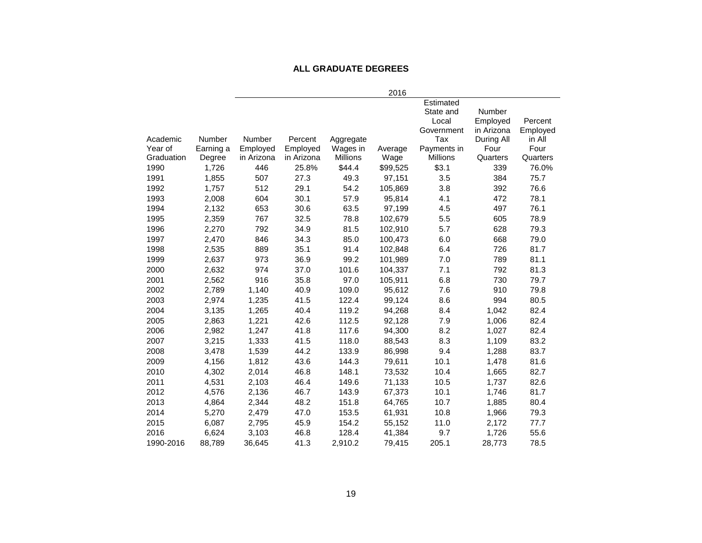#### **ALL GRADUATE DEGREES**

| 2016                                                                                           |                        |
|------------------------------------------------------------------------------------------------|------------------------|
| Estimated                                                                                      |                        |
| State and                                                                                      | Number                 |
| Local                                                                                          | Percent<br>Employed    |
| Government                                                                                     | in Arizona<br>Employed |
| Number<br>Number<br>Tax<br>Academic<br>Percent<br>Aggregate                                    | During All<br>in All   |
| Year of<br>Earning a<br>Employed<br>Employed<br>Wages in<br>Payments in<br>Average             | Four<br>Four           |
| Graduation<br>in Arizona<br>in Arizona<br><b>Millions</b><br><b>Millions</b><br>Degree<br>Wage | Quarters<br>Quarters   |
| \$3.1<br>1990<br>1,726<br>446<br>25.8%<br>\$44.4<br>\$99,525                                   | 76.0%<br>339           |
| 1,855<br>507<br>27.3<br>49.3<br>3.5<br>1991<br>97,151                                          | 384<br>75.7            |
| 54.2<br>1992<br>1,757<br>512<br>29.1<br>105,869<br>3.8                                         | 392<br>76.6            |
| 1993<br>2,008<br>604<br>30.1<br>57.9<br>95,814<br>4.1                                          | 472<br>78.1            |
| 653<br>30.6<br>63.5<br>1994<br>2,132<br>97,199<br>4.5                                          | 76.1<br>497            |
| 2,359<br>767<br>32.5<br>78.8<br>5.5<br>1995<br>102,679                                         | 605<br>78.9            |
| 792<br>34.9<br>1996<br>2,270<br>81.5<br>102,910<br>5.7                                         | 628<br>79.3            |
| 1997<br>846<br>34.3<br>85.0<br>6.0<br>2,470<br>100,473                                         | 668<br>79.0            |
| 2,535<br>889<br>35.1<br>91.4<br>6.4<br>1998<br>102,848                                         | 726<br>81.7            |
| 2,637<br>973<br>36.9<br>99.2<br>1999<br>101,989<br>7.0                                         | 789<br>81.1            |
| 2000<br>2,632<br>974<br>37.0<br>101.6<br>7.1<br>104,337                                        | 792<br>81.3            |
| 2,562<br>916<br>35.8<br>97.0<br>2001<br>105,911<br>6.8                                         | 730<br>79.7            |
| 2002<br>2,789<br>1,140<br>40.9<br>109.0<br>95,612<br>7.6                                       | 910<br>79.8            |
| 2003<br>41.5<br>2,974<br>1,235<br>122.4<br>99,124<br>8.6                                       | 994<br>80.5            |
| 2004<br>40.4<br>119.2<br>3,135<br>1,265<br>94,268<br>8.4                                       | 82.4<br>1,042          |
| 2005<br>1,221<br>42.6<br>112.5<br>7.9<br>2,863<br>92,128                                       | 82.4<br>1,006          |
| 2006<br>1,247<br>41.8<br>117.6<br>94,300<br>8.2<br>2,982                                       | 1,027<br>82.4          |
| 8.3<br>2007<br>3,215<br>1,333<br>41.5<br>118.0<br>88,543                                       | 1,109<br>83.2          |
| 2008<br>3,478<br>1,539<br>44.2<br>133.9<br>86,998<br>9.4                                       | 1,288<br>83.7          |
| 2009<br>4,156<br>1,812<br>43.6<br>144.3<br>79,611<br>10.1                                      | 81.6<br>1,478          |
| 10.4<br>2010<br>4,302<br>2,014<br>46.8<br>148.1<br>73,532                                      | 1,665<br>82.7          |
| 2011<br>46.4<br>10.5<br>4,531<br>2,103<br>149.6<br>71,133                                      | 82.6<br>1,737          |
| 46.7<br>2012<br>4,576<br>2,136<br>143.9<br>67,373<br>10.1                                      | 81.7<br>1,746          |
| 2013<br>48.2<br>151.8<br>10.7<br>4,864<br>2,344<br>64,765                                      | 80.4<br>1,885          |
| 2014<br>47.0<br>153.5<br>10.8<br>5,270<br>2,479<br>61,931                                      | 79.3<br>1,966          |
| 2015<br>6,087<br>2,795<br>45.9<br>154.2<br>55,152<br>11.0                                      | 77.7<br>2,172          |
| 2016<br>6,624<br>3,103<br>46.8<br>41,384<br>9.7<br>128.4                                       | 1,726<br>55.6          |
| 1990-2016<br>88,789<br>36,645<br>41.3<br>2,910.2<br>79,415<br>205.1                            | 78.5<br>28,773         |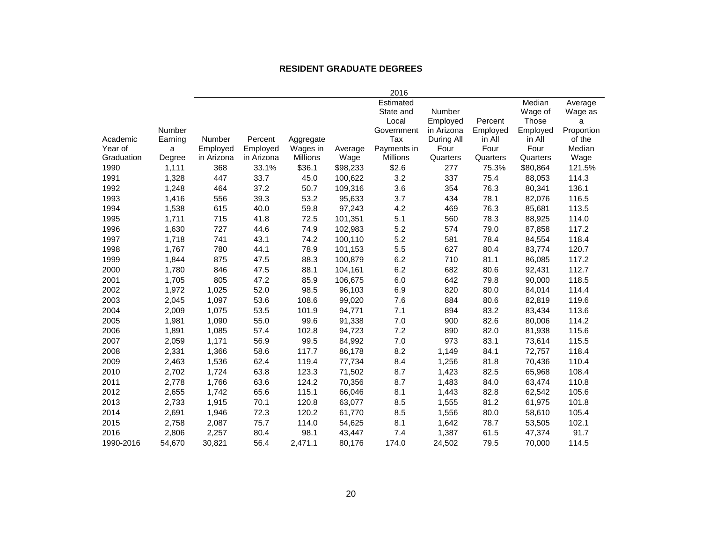#### **RESIDENT GRADUATE DEGREES**

|            |         |            |            |                 |          | 2016            |            |          |          |            |
|------------|---------|------------|------------|-----------------|----------|-----------------|------------|----------|----------|------------|
|            |         |            |            |                 |          | Estimated       |            |          | Median   | Average    |
|            |         |            |            |                 |          | State and       | Number     |          | Wage of  | Wage as    |
|            |         |            |            |                 |          | Local           | Employed   | Percent  | Those    | a          |
|            | Number  |            |            |                 |          | Government      | in Arizona | Employed | Employed | Proportion |
| Academic   | Earning | Number     | Percent    | Aggregate       |          | Tax             | During All | in All   | in All   | of the     |
| Year of    | a       | Employed   | Employed   | Wages in        | Average  | Payments in     | Four       | Four     | Four     | Median     |
| Graduation | Degree  | in Arizona | in Arizona | <b>Millions</b> | Wage     | <b>Millions</b> | Quarters   | Quarters | Quarters | Wage       |
| 1990       | 1,111   | 368        | 33.1%      | \$36.1          | \$98,233 | \$2.6           | 277        | 75.3%    | \$80,864 | 121.5%     |
| 1991       | 1,328   | 447        | 33.7       | 45.0            | 100,622  | 3.2             | 337        | 75.4     | 88,053   | 114.3      |
| 1992       | 1,248   | 464        | 37.2       | 50.7            | 109,316  | 3.6             | 354        | 76.3     | 80,341   | 136.1      |
| 1993       | 1,416   | 556        | 39.3       | 53.2            | 95,633   | 3.7             | 434        | 78.1     | 82,076   | 116.5      |
| 1994       | 1,538   | 615        | 40.0       | 59.8            | 97,243   | 4.2             | 469        | 76.3     | 85,681   | 113.5      |
| 1995       | 1,711   | 715        | 41.8       | 72.5            | 101,351  | 5.1             | 560        | 78.3     | 88,925   | 114.0      |
| 1996       | 1,630   | 727        | 44.6       | 74.9            | 102,983  | 5.2             | 574        | 79.0     | 87,858   | 117.2      |
| 1997       | 1,718   | 741        | 43.1       | 74.2            | 100,110  | 5.2             | 581        | 78.4     | 84,554   | 118.4      |
| 1998       | 1,767   | 780        | 44.1       | 78.9            | 101,153  | 5.5             | 627        | 80.4     | 83,774   | 120.7      |
| 1999       | 1,844   | 875        | 47.5       | 88.3            | 100,879  | 6.2             | 710        | 81.1     | 86,085   | 117.2      |
| 2000       | 1,780   | 846        | 47.5       | 88.1            | 104,161  | 6.2             | 682        | 80.6     | 92,431   | 112.7      |
| 2001       | 1,705   | 805        | 47.2       | 85.9            | 106,675  | 6.0             | 642        | 79.8     | 90,000   | 118.5      |
| 2002       | 1,972   | 1,025      | 52.0       | 98.5            | 96,103   | 6.9             | 820        | 80.0     | 84,014   | 114.4      |
| 2003       | 2,045   | 1,097      | 53.6       | 108.6           | 99,020   | 7.6             | 884        | 80.6     | 82,819   | 119.6      |
| 2004       | 2,009   | 1,075      | 53.5       | 101.9           | 94,771   | 7.1             | 894        | 83.2     | 83,434   | 113.6      |
| 2005       | 1,981   | 1,090      | 55.0       | 99.6            | 91,338   | 7.0             | 900        | 82.6     | 80,006   | 114.2      |
| 2006       | 1,891   | 1,085      | 57.4       | 102.8           | 94,723   | 7.2             | 890        | 82.0     | 81,938   | 115.6      |
| 2007       | 2,059   | 1,171      | 56.9       | 99.5            | 84,992   | $7.0\,$         | 973        | 83.1     | 73,614   | 115.5      |
| 2008       | 2,331   | 1,366      | 58.6       | 117.7           | 86,178   | 8.2             | 1,149      | 84.1     | 72,757   | 118.4      |
| 2009       | 2,463   | 1,536      | 62.4       | 119.4           | 77,734   | 8.4             | 1,256      | 81.8     | 70,436   | 110.4      |
| 2010       | 2,702   | 1,724      | 63.8       | 123.3           | 71,502   | 8.7             | 1,423      | 82.5     | 65,968   | 108.4      |
| 2011       | 2,778   | 1,766      | 63.6       | 124.2           | 70,356   | 8.7             | 1,483      | 84.0     | 63,474   | 110.8      |
| 2012       | 2,655   | 1,742      | 65.6       | 115.1           | 66,046   | 8.1             | 1,443      | 82.8     | 62,542   | 105.6      |
| 2013       | 2,733   | 1,915      | 70.1       | 120.8           | 63,077   | 8.5             | 1,555      | 81.2     | 61,975   | 101.8      |
| 2014       | 2,691   | 1,946      | 72.3       | 120.2           | 61,770   | 8.5             | 1,556      | 80.0     | 58,610   | 105.4      |
| 2015       | 2,758   | 2,087      | 75.7       | 114.0           | 54,625   | 8.1             | 1,642      | 78.7     | 53,505   | 102.1      |
| 2016       | 2,806   | 2,257      | 80.4       | 98.1            | 43,447   | 7.4             | 1,387      | 61.5     | 47,374   | 91.7       |
| 1990-2016  | 54,670  | 30,821     | 56.4       | 2,471.1         | 80,176   | 174.0           | 24,502     | 79.5     | 70,000   | 114.5      |